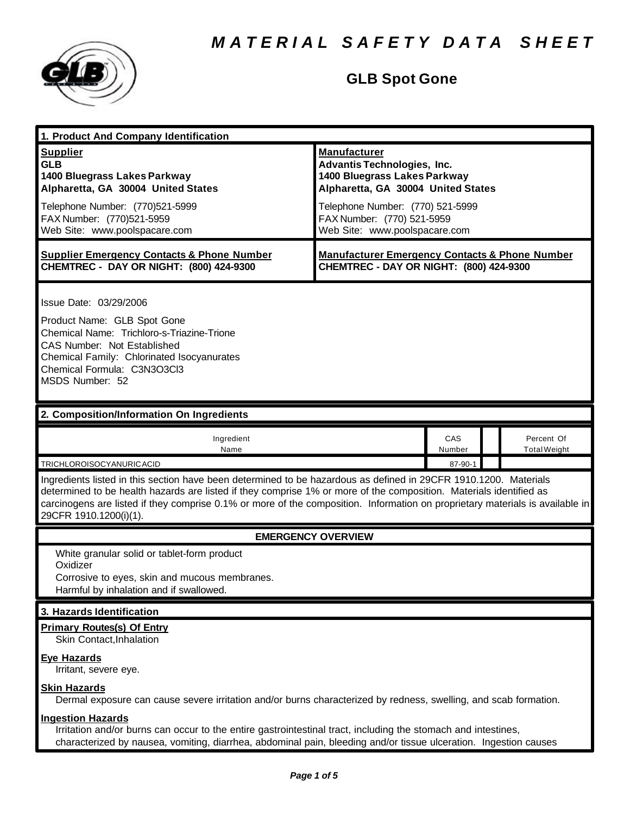

# **GLB Spot Gone**

| 1. Product And Company Identification                                                                                                                                                                                                                                                                                                                                                                                                    |                                                                                                                                                                                                                                    |               |  |                                   |
|------------------------------------------------------------------------------------------------------------------------------------------------------------------------------------------------------------------------------------------------------------------------------------------------------------------------------------------------------------------------------------------------------------------------------------------|------------------------------------------------------------------------------------------------------------------------------------------------------------------------------------------------------------------------------------|---------------|--|-----------------------------------|
| <b>Supplier</b><br><b>GLB</b><br>1400 Bluegrass Lakes Parkway<br>Alpharetta, GA 30004 United States<br>Telephone Number: (770)521-5999<br>FAX Number: (770)521-5959<br>Web Site: www.poolspacare.com                                                                                                                                                                                                                                     | <b>Manufacturer</b><br><b>Advantis Technologies, Inc.</b><br>1400 Bluegrass Lakes Parkway<br>Alpharetta, GA 30004 United States<br>Telephone Number: (770) 521-5999<br>FAX Number: (770) 521-5959<br>Web Site: www.poolspacare.com |               |  |                                   |
| <b>Supplier Emergency Contacts &amp; Phone Number</b><br>CHEMTREC - DAY OR NIGHT: (800) 424-9300                                                                                                                                                                                                                                                                                                                                         | <b>Manufacturer Emergency Contacts &amp; Phone Number</b><br>CHEMTREC - DAY OR NIGHT: (800) 424-9300                                                                                                                               |               |  |                                   |
| Issue Date: 03/29/2006<br>Product Name: GLB Spot Gone<br>Chemical Name: Trichloro-s-Triazine-Trione<br>CAS Number: Not Established<br>Chemical Family: Chlorinated Isocyanurates<br>Chemical Formula: C3N3O3Cl3<br>MSDS Number: 52                                                                                                                                                                                                       |                                                                                                                                                                                                                                    |               |  |                                   |
| 2. Composition/Information On Ingredients                                                                                                                                                                                                                                                                                                                                                                                                |                                                                                                                                                                                                                                    |               |  |                                   |
| Ingredient<br>Name                                                                                                                                                                                                                                                                                                                                                                                                                       |                                                                                                                                                                                                                                    | CAS<br>Number |  | Percent Of<br><b>Total Weight</b> |
| TRICHLOROISOCYANURICACID<br>87-90-1<br>Ingredients listed in this section have been determined to be hazardous as defined in 29CFR 1910.1200. Materials<br>determined to be health hazards are listed if they comprise 1% or more of the composition. Materials identified as<br>carcinogens are listed if they comprise 0.1% or more of the composition. Information on proprietary materials is available in<br>29CFR 1910.1200(i)(1). |                                                                                                                                                                                                                                    |               |  |                                   |
| <b>EMERGENCY OVERVIEW</b>                                                                                                                                                                                                                                                                                                                                                                                                                |                                                                                                                                                                                                                                    |               |  |                                   |
| White granular solid or tablet-form product<br>Oxidizer<br>Corrosive to eyes, skin and mucous membranes.<br>Harmful by inhalation and if swallowed.                                                                                                                                                                                                                                                                                      |                                                                                                                                                                                                                                    |               |  |                                   |
| 3. Hazards Identification                                                                                                                                                                                                                                                                                                                                                                                                                |                                                                                                                                                                                                                                    |               |  |                                   |
| <b>Primary Routes(s) Of Entry</b><br>Skin Contact, Inhalation<br><b>Eye Hazards</b><br>Irritant, severe eye.                                                                                                                                                                                                                                                                                                                             |                                                                                                                                                                                                                                    |               |  |                                   |
| <b>Skin Hazards</b><br>Dermal exposure can cause severe irritation and/or burns characterized by redness, swelling, and scab formation.                                                                                                                                                                                                                                                                                                  |                                                                                                                                                                                                                                    |               |  |                                   |
| <b>Ingestion Hazards</b><br>Irritation and/or burns can occur to the entire gastrointestinal tract, including the stomach and intestines,<br>characterized by nausea, vomiting, diarrhea, abdominal pain, bleeding and/or tissue ulceration. Ingestion causes                                                                                                                                                                            |                                                                                                                                                                                                                                    |               |  |                                   |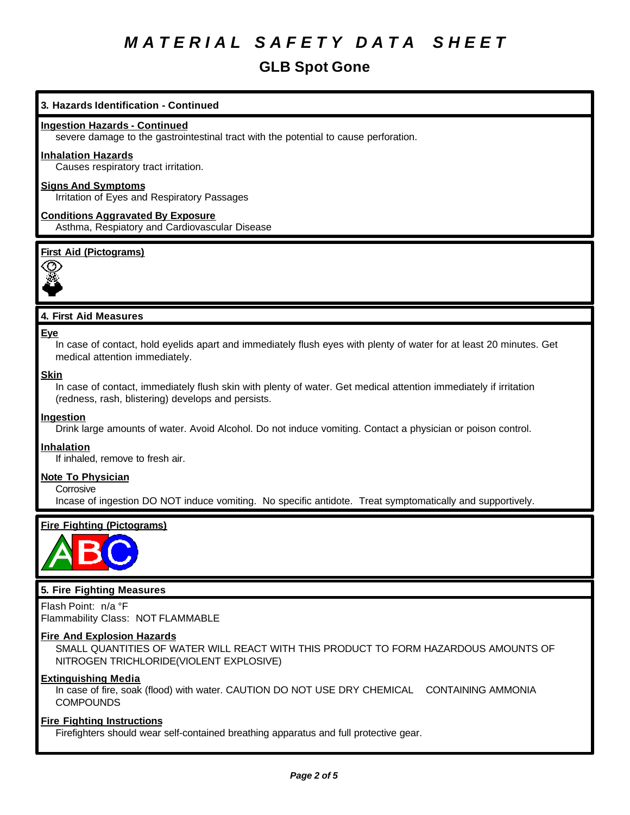# **GLB Spot Gone**

# **3. Hazards Identification - Continued**

### **Ingestion Hazards - Continued**

severe damage to the gastrointestinal tract with the potential to cause perforation.

#### **Inhalation Hazards**

Causes respiratory tract irritation.

# **Signs And Symptoms**

Irritation of Eyes and Respiratory Passages

**Conditions Aggravated By Exposure** Asthma, Respiatory and Cardiovascular Disease

## **First Aid (Pictograms)**



## **4. First Aid Measures**

#### **Eye**

In case of contact, hold eyelids apart and immediately flush eyes with plenty of water for at least 20 minutes. Get medical attention immediately.

#### **Skin**

In case of contact, immediately flush skin with plenty of water. Get medical attention immediately if irritation (redness, rash, blistering) develops and persists.

### **Ingestion**

Drink large amounts of water. Avoid Alcohol. Do not induce vomiting. Contact a physician or poison control.

#### **Inhalation**

If inhaled, remove to fresh air.

#### **Note To Physician**

**Corrosive** 

Incase of ingestion DO NOT induce vomiting. No specific antidote. Treat symptomatically and supportively.

# **Fire Fighting (Pictograms)**



## **5. Fire Fighting Measures**

Flash Point: n/a °F Flammability Class: NOT FLAMMABLE

#### **Fire And Explosion Hazards**

SMALL QUANTITIES OF WATER WILL REACT WITH THIS PRODUCT TO FORM HAZARDOUS AMOUNTS OF NITROGEN TRICHLORIDE(VIOLENT EXPLOSIVE)

## **Extinguishing Media**

In case of fire, soak (flood) with water. CAUTION DO NOT USE DRY CHEMICAL CONTAINING AMMONIA **COMPOUNDS** 

#### **Fire Fighting Instructions**

Firefighters should wear self-contained breathing apparatus and full protective gear.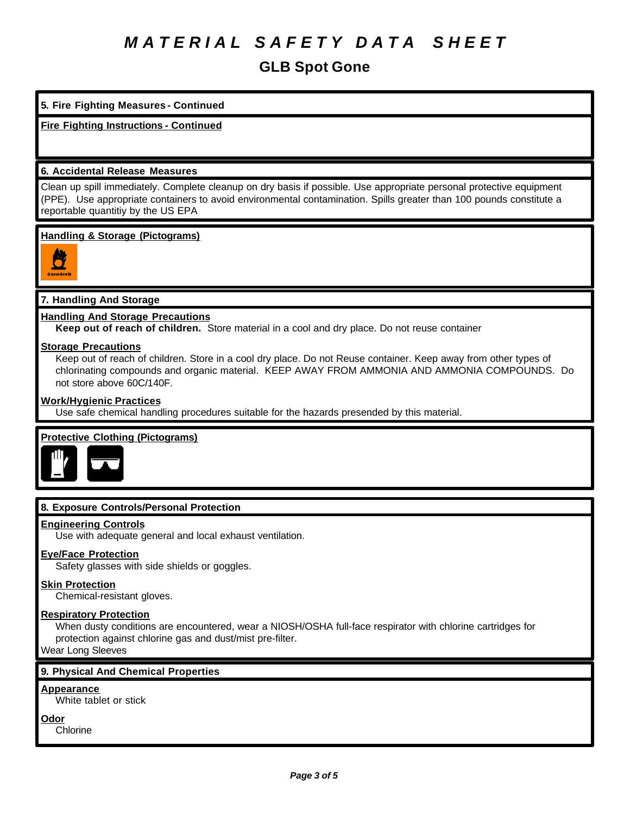**GLB Spot Gone**

## **5. Fire Fighting Measures - Continued**

# **Fire Fighting Instructions - Continued**

## **6. Accidental Release Measures**

Clean up spill immediately. Complete cleanup on dry basis if possible. Use appropriate personal protective equipment (PPE). Use appropriate containers to avoid environmental contamination. Spills greater than 100 pounds constitute a reportable quantitiy by the US EPA

## **Handling & Storage (Pictograms)**



# **7. Handling And Storage**

## **Handling And Storage Precautions**

**Keep out of reach of children.** Store material in a cool and dry place. Do not reuse container

### **Storage Precautions**

Keep out of reach of children. Store in a cool dry place. Do not Reuse container. Keep away from other types of chlorinating compounds and organic material. KEEP AWAY FROM AMMONIA AND AMMONIA COMPOUNDS. Do not store above 60C/140F.

## **Work/Hygienic Practices**

Use safe chemical handling procedures suitable for the hazards presended by this material.

# **Protective Clothing (Pictograms)**



# **8. Exposure Controls/Personal Protection**

### **Engineering Controls**

Use with adequate general and local exhaust ventilation.

# **Eye/Face Protection**

Safety glasses with side shields or goggles.

### **Skin Protection**

Chemical-resistant gloves.

### **Respiratory Protection**

When dusty conditions are encountered, wear a NIOSH/OSHA full-face respirator with chlorine cartridges for protection against chlorine gas and dust/mist pre-filter.

Wear Long Sleeves

# **9. Physical And Chemical Properties**

### **Appearance**

White tablet or stick

**Odor**

Chlorine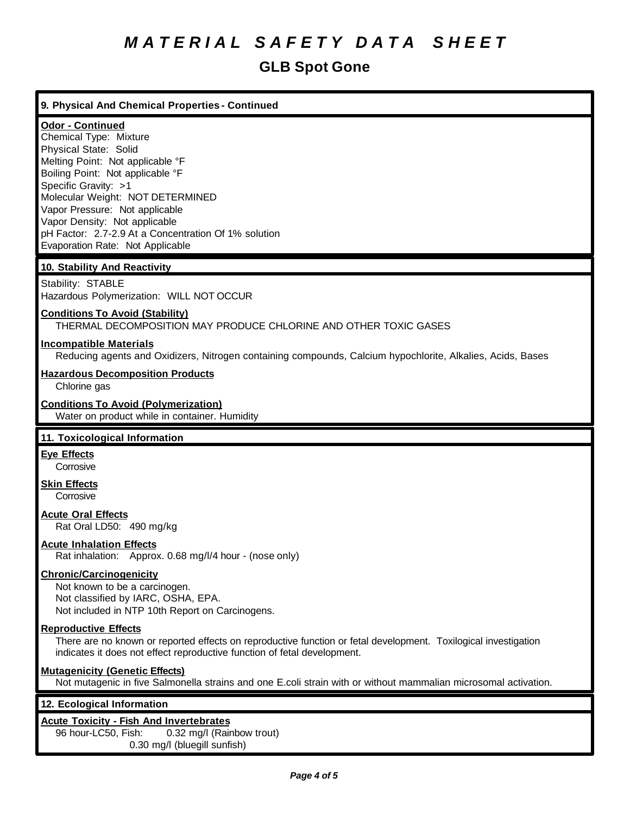# **GLB Spot Gone**

# **9. Physical And Chemical Properties - Continued**

# **Odor - Continued**

Chemical Type: Mixture Physical State: Solid Melting Point: Not applicable °F Boiling Point: Not applicable °F Specific Gravity: >1 Molecular Weight: NOT DETERMINED Vapor Pressure: Not applicable Vapor Density: Not applicable pH Factor: 2.7-2.9 At a Concentration Of 1% solution Evaporation Rate: Not Applicable

# **10. Stability And Reactivity**

Stability: STABLE Hazardous Polymerization: WILL NOT OCCUR

# **Conditions To Avoid (Stability)**

THERMAL DECOMPOSITION MAY PRODUCE CHLORINE AND OTHER TOXIC GASES

## **Incompatible Materials**

Reducing agents and Oxidizers, Nitrogen containing compounds, Calcium hypochlorite, Alkalies, Acids, Bases

## **Hazardous Decomposition Products**

Chlorine gas

### **Conditions To Avoid (Polymerization)**

Water on product while in container. Humidity

# **11. Toxicological Information**

# **Eye Effects**

**Corrosive** 

#### **Skin Effects Corrosive**

# **Acute Oral Effects**

Rat Oral LD50: 490 mg/kg

# **Acute Inhalation Effects**

Rat inhalation: Approx. 0.68 mg/l/4 hour - (nose only)

# **Chronic/Carcinogenicity**

Not known to be a carcinogen. Not classified by IARC, OSHA, EPA. Not included in NTP 10th Report on Carcinogens.

### **Reproductive Effects**

There are no known or reported effects on reproductive function or fetal development. Toxilogical investigation indicates it does not effect reproductive function of fetal development.

### **Mutagenicity (Genetic Effects)**

Not mutagenic in five Salmonella strains and one E.coli strain with or without mammalian microsomal activation.

### **12. Ecological Information**

### **Acute Toxicity - Fish And Invertebrates**

96 hour-LC50, Fish: 0.32 mg/l (Rainbow trout) 0.30 mg/l (bluegill sunfish)